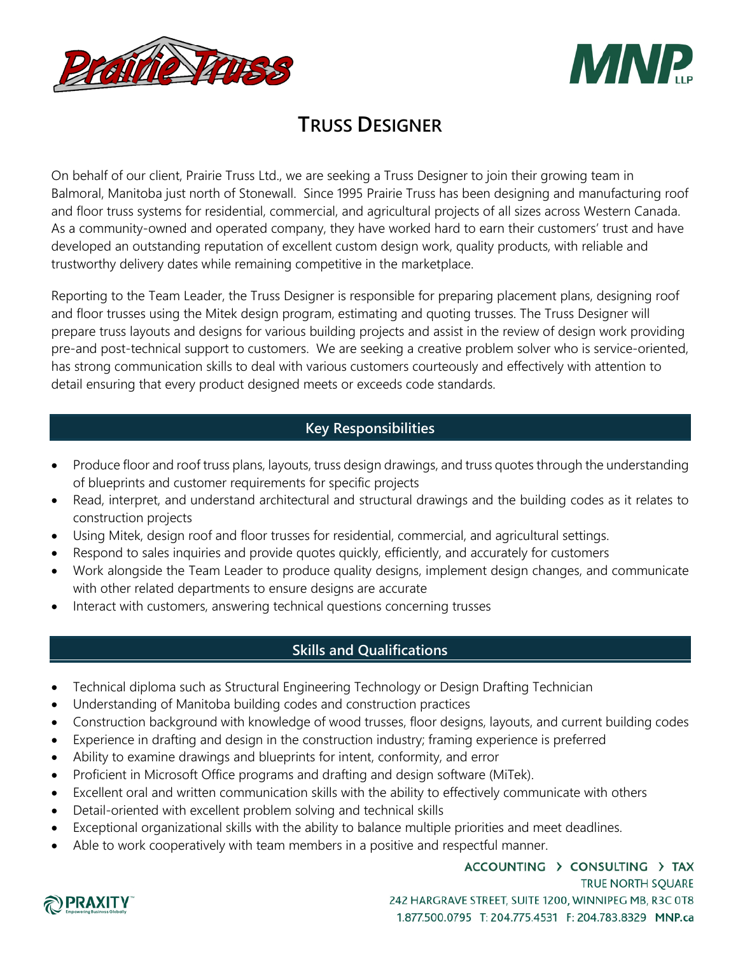



## **TRUSS DESIGNER**

On behalf of our client, Prairie Truss Ltd., we are seeking a Truss Designer to join their growing team in Balmoral, Manitoba just north of Stonewall. Since 1995 Prairie Truss has been designing and manufacturing roof and floor truss systems for residential, commercial, and agricultural projects of all sizes across Western Canada. As a community-owned and operated company, they have worked hard to earn their customers' trust and have developed an outstanding reputation of excellent custom design work, quality products, with reliable and trustworthy delivery dates while remaining competitive in the marketplace.

Reporting to the Team Leader, the Truss Designer is responsible for preparing placement plans, designing roof and floor trusses using the Mitek design program, estimating and quoting trusses. The Truss Designer will prepare truss layouts and designs for various building projects and assist in the review of design work providing pre-and post-technical support to customers. We are seeking a creative problem solver who is service-oriented, has strong communication skills to deal with various customers courteously and effectively with attention to detail ensuring that every product designed meets or exceeds code standards.

## **Key Responsibilities**

- Produce floor and roof truss plans, layouts, truss design drawings, and truss quotes through the understanding of blueprints and customer requirements for specific projects
- Read, interpret, and understand architectural and structural drawings and the building codes as it relates to construction projects
- Using Mitek, design roof and floor trusses for residential, commercial, and agricultural settings.
- Respond to sales inquiries and provide quotes quickly, efficiently, and accurately for customers
- Work alongside the Team Leader to produce quality designs, implement design changes, and communicate with other related departments to ensure designs are accurate
- Interact with customers, answering technical questions concerning trusses

## **Skills and Qualifications**

- Technical diploma such as Structural Engineering Technology or Design Drafting Technician
- Understanding of Manitoba building codes and construction practices
- Construction background with knowledge of wood trusses, floor designs, layouts, and current building codes
- Experience in drafting and design in the construction industry; framing experience is preferred
- Ability to examine drawings and blueprints for intent, conformity, and error
- Proficient in Microsoft Office programs and drafting and design software (MiTek).
- Excellent oral and written communication skills with the ability to effectively communicate with others
- Detail-oriented with excellent problem solving and technical skills
- Exceptional organizational skills with the ability to balance multiple priorities and meet deadlines.
- Able to work cooperatively with team members in a positive and respectful manner.